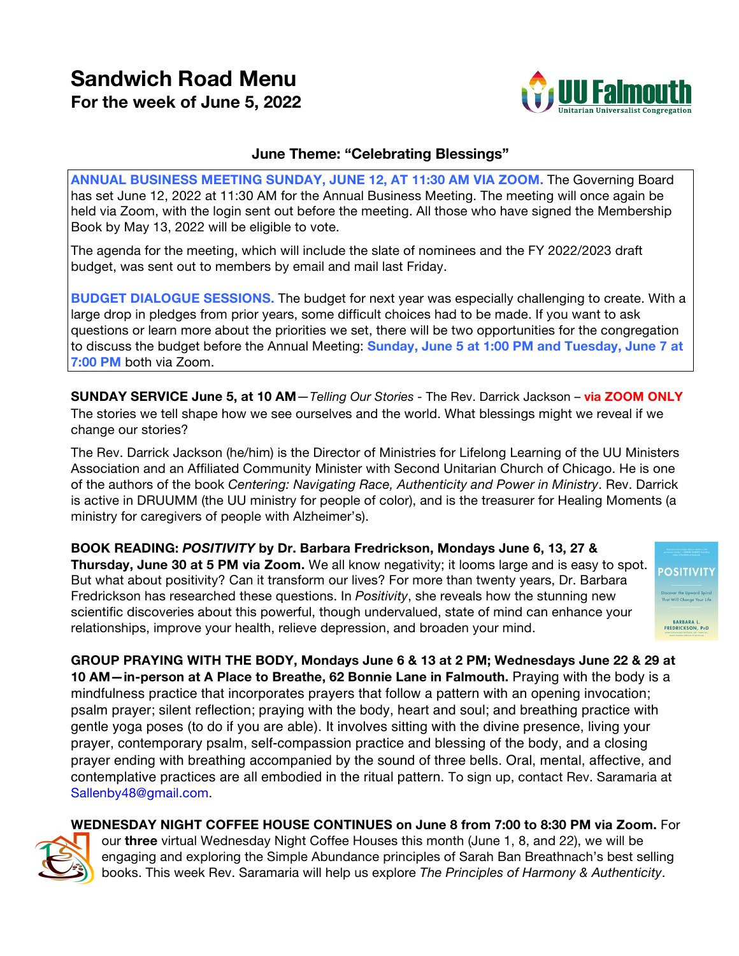# **Sandwich Road Menu For the week of June 5, 2022**



**POSITIVIT** 

BARBARA L.<br>FREDRICKSON, PHD

## **June Theme: "Celebrating Blessings"**

**ANNUAL BUSINESS MEETING SUNDAY, JUNE 12, AT 11:30 AM VIA ZOOM.** The Governing Board has set June 12, 2022 at 11:30 AM for the Annual Business Meeting. The meeting will once again be held via Zoom, with the login sent out before the meeting. All those who have signed the Membership Book by May 13, 2022 will be eligible to vote.

The agenda for the meeting, which will include the slate of nominees and the FY 2022/2023 draft budget, was sent out to members by email and mail last Friday.

**BUDGET DIALOGUE SESSIONS.** The budget for next year was especially challenging to create. With a large drop in pledges from prior years, some difficult choices had to be made. If you want to ask questions or learn more about the priorities we set, there will be two opportunities for the congregation to discuss the budget before the Annual Meeting: **Sunday, June 5 at 1:00 PM and Tuesday, June 7 at 7:00 PM** both via Zoom.

**SUNDAY SERVICE June 5, at 10 AM**—*Telling Our Stories -* The Rev. Darrick Jackson – **via ZOOM ONLY** The stories we tell shape how we see ourselves and the world. What blessings might we reveal if we change our stories?

The Rev. Darrick Jackson (he/him) is the Director of Ministries for Lifelong Learning of the UU Ministers Association and an Affiliated Community Minister with Second Unitarian Church of Chicago. He is one of the authors of the book *Centering: Navigating Race, Authenticity and Power in Ministry*. Rev. Darrick is active in DRUUMM (the UU ministry for people of color), and is the treasurer for Healing Moments (a ministry for caregivers of people with Alzheimer's).

**BOOK READING:** *POSITIVITY* **by Dr. Barbara Fredrickson, Mondays June 6, 13, 27 & Thursday, June 30 at 5 PM via Zoom.** We all know negativity; it looms large and is easy to spot. But what about positivity? Can it transform our lives? For more than twenty years, Dr. Barbara Fredrickson has researched these questions. In *Positivity*, she reveals how the stunning new scientific discoveries about this powerful, though undervalued, state of mind can enhance your relationships, improve your health, relieve depression, and broaden your mind.

**GROUP PRAYING WITH THE BODY, Mondays June 6 & 13 at 2 PM; Wednesdays June 22 & 29 at 10 AM—in-person at A Place to Breathe, 62 Bonnie Lane in Falmouth.** Praying with the body is a mindfulness practice that incorporates prayers that follow a pattern with an opening invocation; psalm prayer; silent reflection; praying with the body, heart and soul; and breathing practice with gentle yoga poses (to do if you are able). It involves sitting with the divine presence, living your prayer, contemporary psalm, self-compassion practice and blessing of the body, and a closing prayer ending with breathing accompanied by the sound of three bells. Oral, mental, affective, and contemplative practices are all embodied in the ritual pattern. To sign up, contact Rev. Saramaria at Sallenby48@gmail.com.

**WEDNESDAY NIGHT COFFEE HOUSE CONTINUES on June 8 from 7:00 to 8:30 PM via Zoom.** For



our **three** virtual Wednesday Night Coffee Houses this month (June 1, 8, and 22), we will be engaging and exploring the Simple Abundance principles of Sarah Ban Breathnach's best selling books. This week Rev. Saramaria will help us explore *The Principles of Harmony & Authenticity*.